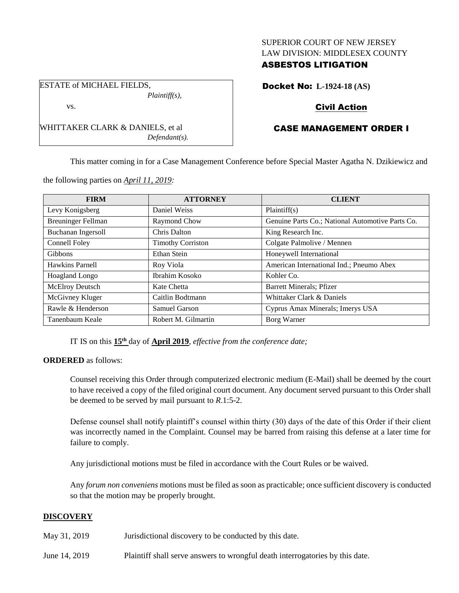#### SUPERIOR COURT OF NEW JERSEY LAW DIVISION: MIDDLESEX COUNTY

# ASBESTOS LITIGATION

Docket No: **L-1924-18 (AS)**

# Civil Action

# CASE MANAGEMENT ORDER I

This matter coming in for a Case Management Conference before Special Master Agatha N. Dzikiewicz and

the following parties on *April 11, 2019:*

WHITTAKER CLARK & DANIELS, et al

ESTATE of MICHAEL FIELDS,

vs.

*Plaintiff(s),*

*Defendant(s).*

| <b>FIRM</b>               | <b>ATTORNEY</b>          | <b>CLIENT</b>                                    |
|---------------------------|--------------------------|--------------------------------------------------|
| Levy Konigsberg           | Daniel Weiss             | Plaintiff(s)                                     |
| <b>Breuninger Fellman</b> | Raymond Chow             | Genuine Parts Co.; National Automotive Parts Co. |
| <b>Buchanan Ingersoll</b> | Chris Dalton             | King Research Inc.                               |
| Connell Foley             | <b>Timothy Corriston</b> | Colgate Palmolive / Mennen                       |
| <b>Gibbons</b>            | Ethan Stein              | Honeywell International                          |
| Hawkins Parnell           | Roy Viola                | American International Ind.; Pneumo Abex         |
| Hoagland Longo            | Ibrahim Kosoko           | Kohler Co.                                       |
| McElroy Deutsch           | Kate Chetta              | <b>Barrett Minerals</b> ; Pfizer                 |
| McGivney Kluger           | Caitlin Bodtmann         | Whittaker Clark & Daniels                        |
| Rawle & Henderson         | Samuel Garson            | Cyprus Amax Minerals; Imerys USA                 |
| Tanenbaum Keale           | Robert M. Gilmartin      | Borg Warner                                      |

IT IS on this **15th** day of **April 2019**, *effective from the conference date;*

# **ORDERED** as follows:

Counsel receiving this Order through computerized electronic medium (E-Mail) shall be deemed by the court to have received a copy of the filed original court document. Any document served pursuant to this Order shall be deemed to be served by mail pursuant to *R*.1:5-2.

Defense counsel shall notify plaintiff's counsel within thirty (30) days of the date of this Order if their client was incorrectly named in the Complaint. Counsel may be barred from raising this defense at a later time for failure to comply.

Any jurisdictional motions must be filed in accordance with the Court Rules or be waived.

Any *forum non conveniens* motions must be filed as soon as practicable; once sufficient discovery is conducted so that the motion may be properly brought.

# **DISCOVERY**

- May 31, 2019 **Jurisdictional discovery to be conducted by this date.**
- June 14, 2019 Plaintiff shall serve answers to wrongful death interrogatories by this date.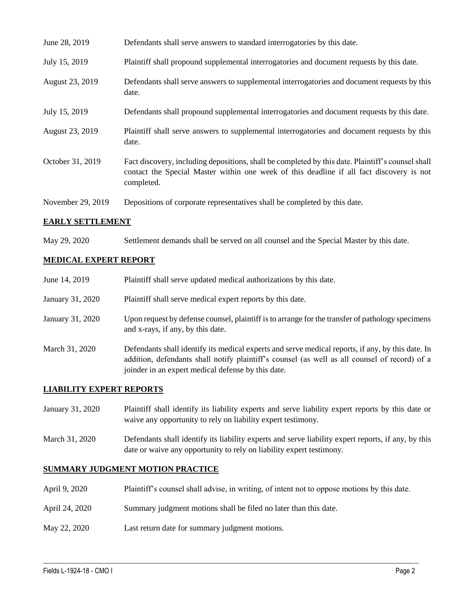| June 28, 2019     | Defendants shall serve answers to standard interrogatories by this date.                                                                                                                                    |
|-------------------|-------------------------------------------------------------------------------------------------------------------------------------------------------------------------------------------------------------|
| July 15, 2019     | Plaintiff shall propound supplemental interrogatories and document requests by this date.                                                                                                                   |
| August 23, 2019   | Defendants shall serve answers to supplemental interrogatories and document requests by this<br>date.                                                                                                       |
| July 15, 2019     | Defendants shall propound supplemental interrogatories and document requests by this date.                                                                                                                  |
| August 23, 2019   | Plaintiff shall serve answers to supplemental interrogatories and document requests by this<br>date.                                                                                                        |
| October 31, 2019  | Fact discovery, including depositions, shall be completed by this date. Plaintiff's counsel shall<br>contact the Special Master within one week of this deadline if all fact discovery is not<br>completed. |
| November 29, 2019 | Depositions of corporate representatives shall be completed by this date.                                                                                                                                   |

# **EARLY SETTLEMENT**

May 29, 2020 Settlement demands shall be served on all counsel and the Special Master by this date.

#### **MEDICAL EXPERT REPORT**

| June 14, 2019    | Plaintiff shall serve updated medical authorizations by this date.                                                                                                                                                                                       |
|------------------|----------------------------------------------------------------------------------------------------------------------------------------------------------------------------------------------------------------------------------------------------------|
| January 31, 2020 | Plaintiff shall serve medical expert reports by this date.                                                                                                                                                                                               |
| January 31, 2020 | Upon request by defense counsel, plaintiff is to arrange for the transfer of pathology specimens<br>and x-rays, if any, by this date.                                                                                                                    |
| March 31, 2020   | Defendants shall identify its medical experts and serve medical reports, if any, by this date. In<br>addition, defendants shall notify plaintiff's counsel (as well as all counsel of record) of a<br>joinder in an expert medical defense by this date. |

# **LIABILITY EXPERT REPORTS**

| January 31, 2020 | Plaintiff shall identify its liability experts and serve liability expert reports by this date or |
|------------------|---------------------------------------------------------------------------------------------------|
|                  | waive any opportunity to rely on liability expert testimony.                                      |

March 31, 2020 Defendants shall identify its liability experts and serve liability expert reports, if any, by this date or waive any opportunity to rely on liability expert testimony.

#### **SUMMARY JUDGMENT MOTION PRACTICE**

April 9, 2020 Plaintiff's counsel shall advise, in writing, of intent not to oppose motions by this date.

 $\_$  , and the set of the set of the set of the set of the set of the set of the set of the set of the set of the set of the set of the set of the set of the set of the set of the set of the set of the set of the set of th

- April 24, 2020 Summary judgment motions shall be filed no later than this date.
- May 22, 2020 Last return date for summary judgment motions.